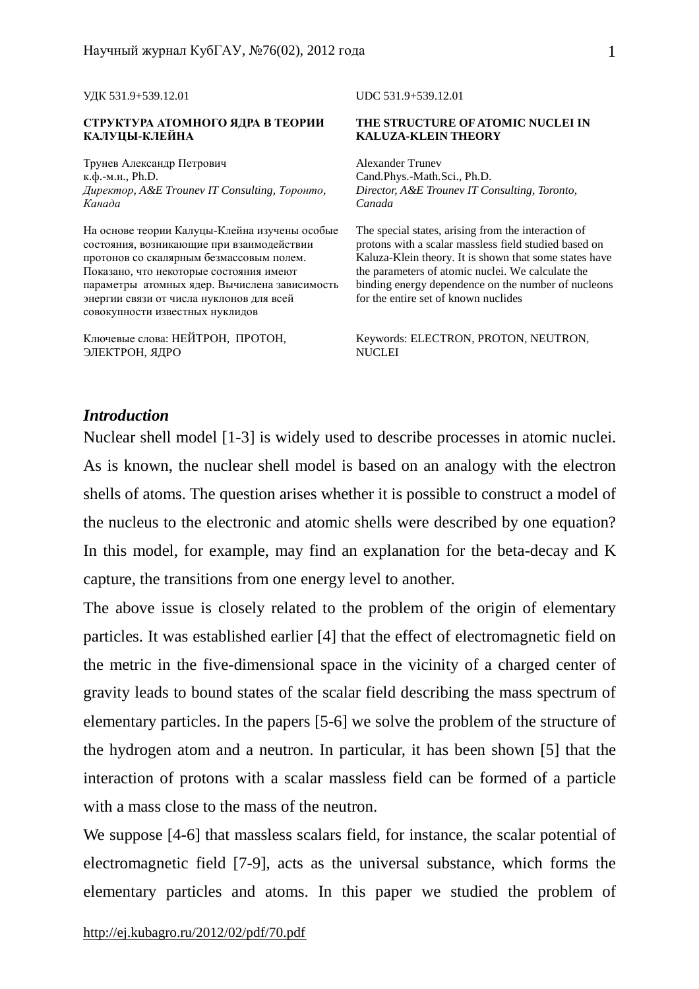#### **СТРУКТУРА АТОМНОГО ЯДРА В ТЕОРИИ КАЛУЦЫ-КЛЕЙНА**

Трунев Александр Петрович к.ф.-м.н., Ph.D. *Директор, A&E Trounev IT Consulting, Торонто, Канада*

На основе теории Калуцы-Клейна изучены особые состояния, возникающие при взаимодействии протонов со скалярным безмассовым полем. Показано, что некоторые состояния имеют параметры атомных ядер. Вычислена зависимость энергии связи от числа нуклонов для всей совокупности известных нуклидов

Ключевые слова: НЕЙТРОН, ПРОТОН, ЭЛЕКТРОН, ЯДРО

УДК 531.9+539.12.01 UDC 531.9+539.12.01

#### **THE STRUCTURE OF ATOMIC NUCLEI IN KALUZA-KLEIN THEORY**

Alexander Trunev Cand.Phys.-Math.Sci., Ph.D. *Director, A&E Trounev IT Consulting, Toronto, Canada* 

The special states, arising from the interaction of protons with a scalar massless field studied based on Kaluza-Klein theory. It is shown that some states have the parameters of atomic nuclei. We calculate the binding energy dependence on the number of nucleons for the entire set of known nuclides

Keywords: ELECTRON, PROTON, NEUTRON, **NUCLEI** 

# *Introduction*

Nuclear shell model [1-3] is widely used to describe processes in atomic nuclei. As is known, the nuclear shell model is based on an analogy with the electron shells of atoms. The question arises whether it is possible to construct a model of the nucleus to the electronic and atomic shells were described by one equation? In this model, for example, may find an explanation for the beta-decay and K capture, the transitions from one energy level to another.

The above issue is closely related to the problem of the origin of elementary particles. It was established earlier [4] that the effect of electromagnetic field on the metric in the five-dimensional space in the vicinity of a charged center of gravity leads to bound states of the scalar field describing the mass spectrum of elementary particles. In the papers [5-6] we solve the problem of the structure of the hydrogen atom and a neutron. In particular, it has been shown [5] that the interaction of protons with a scalar massless field can be formed of a particle with a mass close to the mass of the neutron.

We suppose [4-6] that massless scalars field, for instance, the scalar potential of electromagnetic field [7-9], acts as the universal substance, which forms the elementary particles and atoms. In this paper we studied the problem of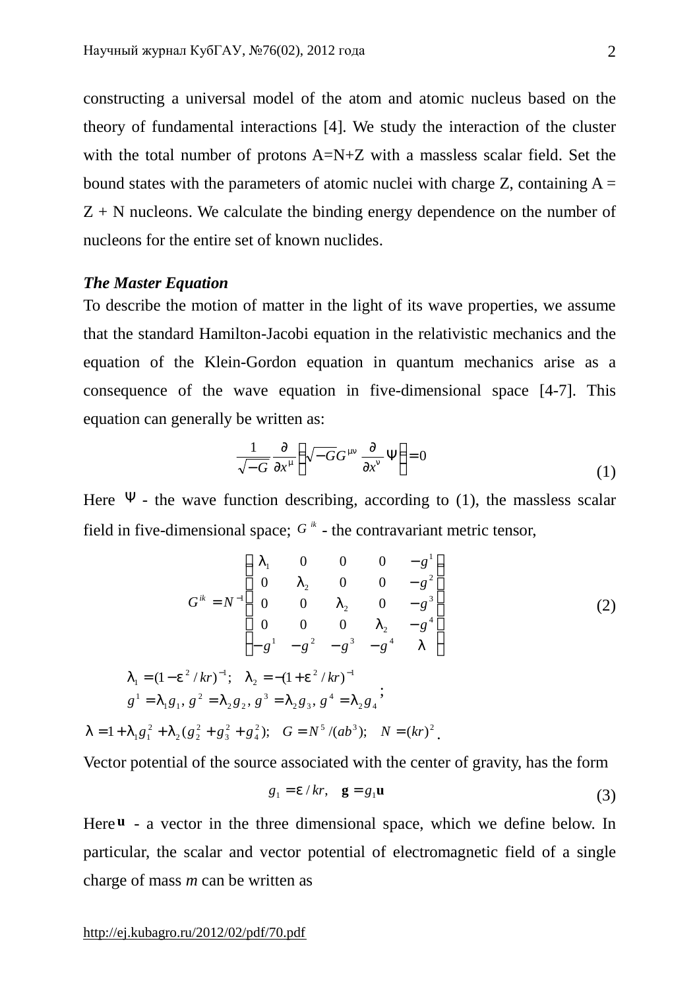constructing a universal model of the atom and atomic nucleus based on the theory of fundamental interactions [4]. We study the interaction of the cluster with the total number of protons A=N+Z with a massless scalar field. Set the bound states with the parameters of atomic nuclei with charge Z, containing  $A =$  $Z + N$  nucleons. We calculate the binding energy dependence on the number of nucleons for the entire set of known nuclides.

## *The Master Equation*

To describe the motion of matter in the light of its wave properties, we assume that the standard Hamilton-Jacobi equation in the relativistic mechanics and the equation of the Klein-Gordon equation in quantum mechanics arise as a consequence of the wave equation in five-dimensional space [4-7]. This equation can generally be written as:

$$
\frac{1}{\sqrt{-G}} \frac{\partial}{\partial x^m} \left( \sqrt{-G} G^{mn} \frac{\partial}{\partial x^n} \Psi \right) = 0 \tag{1}
$$

Here  $\Psi$  - the wave function describing, according to (1), the massless scalar field in five-dimensional space;  $G^k$  - the contravariant metric tensor,

$$
G^{ik} = N^{-1} \begin{pmatrix} I_1 & 0 & 0 & 0 & -g^1 \\ 0 & I_2 & 0 & 0 & -g^2 \\ 0 & 0 & I_2 & 0 & -g^3 \\ 0 & 0 & 0 & I_2 & -g^4 \\ -g^1 & -g^2 & -g^3 & -g^4 & I \end{pmatrix}
$$
(2)  

$$
I_1 = (1 - e^2 / kr)^{-1}; \quad I_2 = -(1 + e^2 / kr)^{-1}
$$

$$
g^1 = I_1 g_1, g^2 = I_2 g_2, g^3 = I_2 g_3, g^4 = I_2 g_4;
$$

$$
I = 1 + I_1 g_1^2 + I_2 (g_2^2 + g_3^2 + g_4^2); \quad G = N^5 / (ab^3); \quad N = (kr)^2.
$$

Vector potential of the source associated with the center of gravity, has the form

$$
g_1 = e/kr, \quad \mathbf{g} = g_1 \mathbf{u} \tag{3}
$$

Here **u** - a vector in the three dimensional space, which we define below. In particular, the scalar and vector potential of electromagnetic field of a single charge of mass *m* can be written as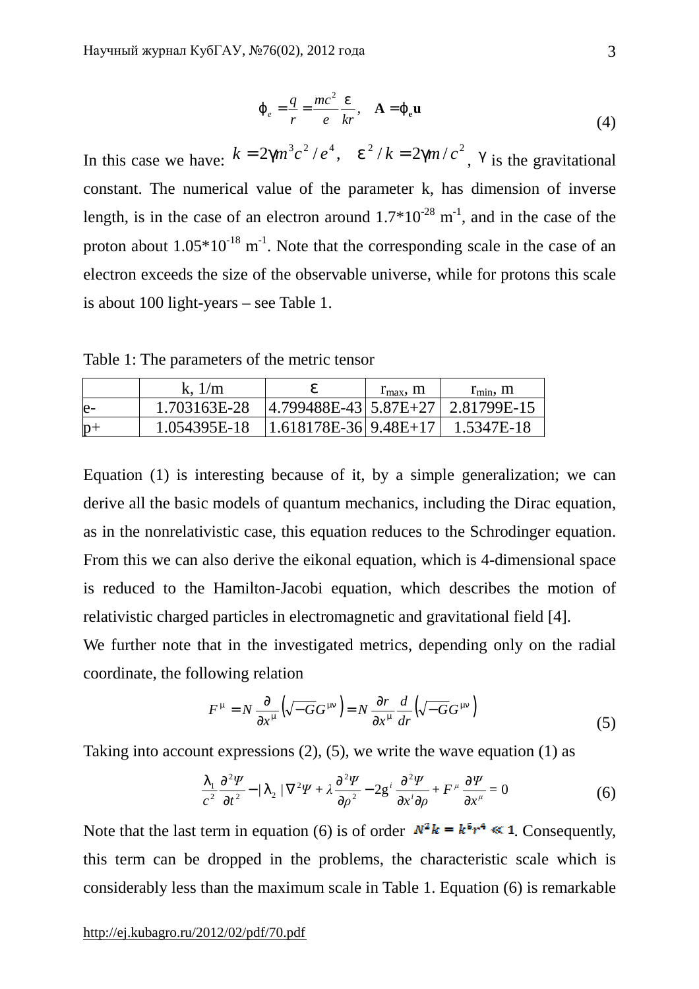$$
\dot{J}_e = \frac{q}{r} = \frac{mc^2}{e} \frac{e}{kr}, \quad A = j_e u \tag{4}
$$

In this case we have:  $k = 2gm^3c^2/e^4$ ,  $e^2/k = 2gm/c^2$ , g is the gravitational constant. The numerical value of the parameter k, has dimension of inverse length, is in the case of an electron around  $1.7*10^{-28}$  m<sup>-1</sup>, and in the case of the proton about  $1.05*10^{-18}$  m<sup>-1</sup>. Note that the corresponding scale in the case of an electron exceeds the size of the observable universe, while for protons this scale is about 100 light-years – see Table 1.

Table 1: The parameters of the metric tensor

|      | k, $1/m$                                              | e                                    | $r_{\rm max}$ , m | $r_{\min}$ , m |
|------|-------------------------------------------------------|--------------------------------------|-------------------|----------------|
| $e-$ | 1.703163E-28                                          | $ 4.799488E-43 5.87E+27 2.81799E-15$ |                   |                |
| $p+$ | $1.054395E-18$   1.618178E-36   9.48E+17   1.5347E-18 |                                      |                   |                |

Equation (1) is interesting because of it, by a simple generalization; we can derive all the basic models of quantum mechanics, including the Dirac equation, as in the nonrelativistic case, this equation reduces to the Schrodinger equation. From this we can also derive the eikonal equation, which is 4-dimensional space is reduced to the Hamilton-Jacobi equation, which describes the motion of relativistic charged particles in electromagnetic and gravitational field [4].

We further note that in the investigated metrics, depending only on the radial coordinate, the following relation

$$
F^{\mathbf{m}} = N \frac{\partial}{\partial x^{\mathbf{m}}} \left( \sqrt{-G} G^{\mathbf{m}n} \right) = N \frac{\partial r}{\partial x^{\mathbf{m}}} \frac{d}{dr} \left( \sqrt{-G} G^{\mathbf{m}n} \right)
$$
(5)

Taking into account expressions (2), (5), we write the wave equation (1) as

$$
\frac{I_1}{c^2} \frac{\partial^2 \Psi}{\partial t^2} - \frac{I_2}{\nabla^2 \Psi + \lambda \frac{\partial^2 \Psi}{\partial \rho^2} - 2g^i \frac{\partial^2 \Psi}{\partial x^i \partial \rho} + F^\mu \frac{\partial \Psi}{\partial x^\mu} = 0
$$
 (6)

Note that the last term in equation (6) is of order  $N^2 k = k^5 r^4 \ll 1$ . Consequently, this term can be dropped in the problems, the characteristic scale which is considerably less than the maximum scale in Table 1. Equation (6) is remarkable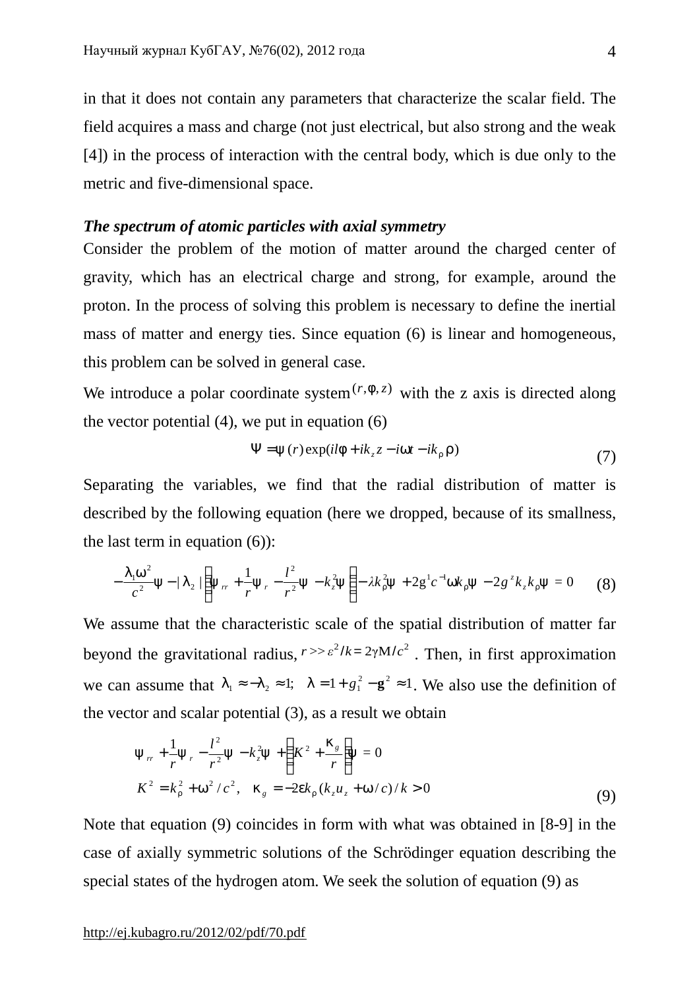in that it does not contain any parameters that characterize the scalar field. The field acquires a mass and charge (not just electrical, but also strong and the weak [4]) in the process of interaction with the central body, which is due only to the metric and five-dimensional space.

# *The spectrum of atomic particles with axial symmetry*

Consider the problem of the motion of matter around the charged center of gravity, which has an electrical charge and strong, for example, around the proton. In the process of solving this problem is necessary to define the inertial mass of matter and energy ties. Since equation (6) is linear and homogeneous, this problem can be solved in general case.

We introduce a polar coordinate system  $(r, f, z)$  with the z axis is directed along the vector potential  $(4)$ , we put in equation  $(6)$ 

$$
\Psi = y(r) \exp(i l f + i k_z z - i w t - i k_r r)
$$
\n(7)

Separating the variables, we find that the radial distribution of matter is described by the following equation (here we dropped, because of its smallness, the last term in equation (6)):

$$
-\frac{I_1 w^2}{c^2} y - \frac{I_2}{\left(y_r + \frac{1}{r} y_r - \frac{l^2}{r^2} y - k_z^2 y\right)} - \lambda k_x^2 y + 2 g^1 c^{-1} w k_x y - 2 g^2 k_z k_x y = 0 \tag{8}
$$

We assume that the characteristic scale of the spatial distribution of matter far beyond the gravitational radius,  $r \gg \varepsilon^2 / k = 2 \gamma M / c^2$ . Then, in first approximation we can assume that  $l_1 \approx -l_2 \approx 1$ ;  $l = 1 + g_1^2 - g^2 \approx 1$ . We also use the definition of the vector and scalar potential (3), as a result we obtain

$$
y_{rr} + \frac{1}{r}y_r - \frac{l^2}{r^2}y - k_z^2y + \left(K^2 + \frac{k_s}{r}\right)y = 0
$$
  

$$
K^2 = k_r^2 + w^2/c^2, \quad k_g = -2ek_r(k_zu_z + w/c)/k > 0
$$
 (9)

Note that equation (9) coincides in form with what was obtained in [8-9] in the case of axially symmetric solutions of the Schrödinger equation describing the special states of the hydrogen atom. We seek the solution of equation (9) as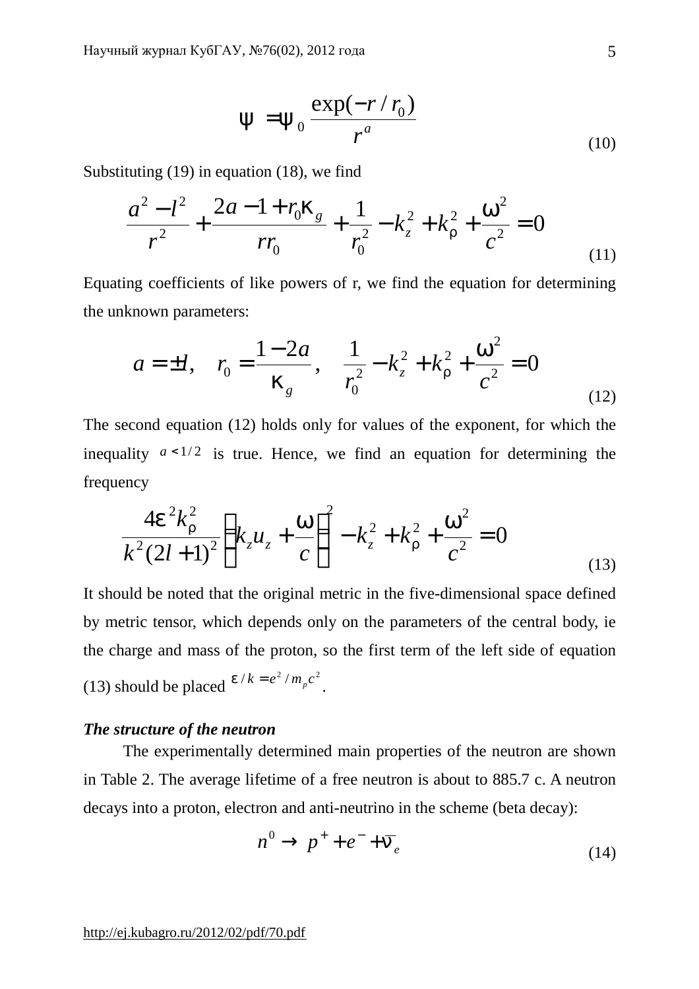$$
y = y_0 \frac{\exp(-r/r_0)}{r^a}
$$
 (10)

Substituting (19) in equation (18), we find

$$
\frac{a^2 - l^2}{r^2} + \frac{2a - 1 + r_0 k_g}{rr_0} + \frac{1}{r_0^2} - k_z^2 + k_r^2 + \frac{w^2}{c^2} = 0
$$
\n(11)

Equating coefficients of like powers of r, we find the equation for determining the unknown parameters:

$$
a = \pm l
$$
,  $r_0 = \frac{1 - 2a}{k_g}$ ,  $\frac{1}{r_0^2} - k_z^2 + k_r^2 + \frac{w^2}{c^2} = 0$  (12)

The second equation (12) holds only for values of the exponent, for which the inequality  $a < 1/2$  is true. Hence, we find an equation for determining the frequency

$$
\frac{4e^2k_r^2}{k^2(2l+1)^2}\left(k_zu_z+\frac{w}{c}\right)^2-k_z^2+k_r^2+\frac{w^2}{c^2}=0
$$
\n(13)

It should be noted that the original metric in the five-dimensional space defined by metric tensor, which depends only on the parameters of the central body, ie the charge and mass of the proton, so the first term of the left side of equation (13) should be placed  $e/k = e^2/m_p c^2$ .

### *The structure of the neutron*

The experimentally determined main properties of the neutron are shown in Table 2. The average lifetime of a free neutron is about to 885.7 c. A neutron decays into a proton, electron and anti-neutrino in the scheme (beta decay):

$$
n^0 \to p^+ + e^- + \overline{n}_e \tag{14}
$$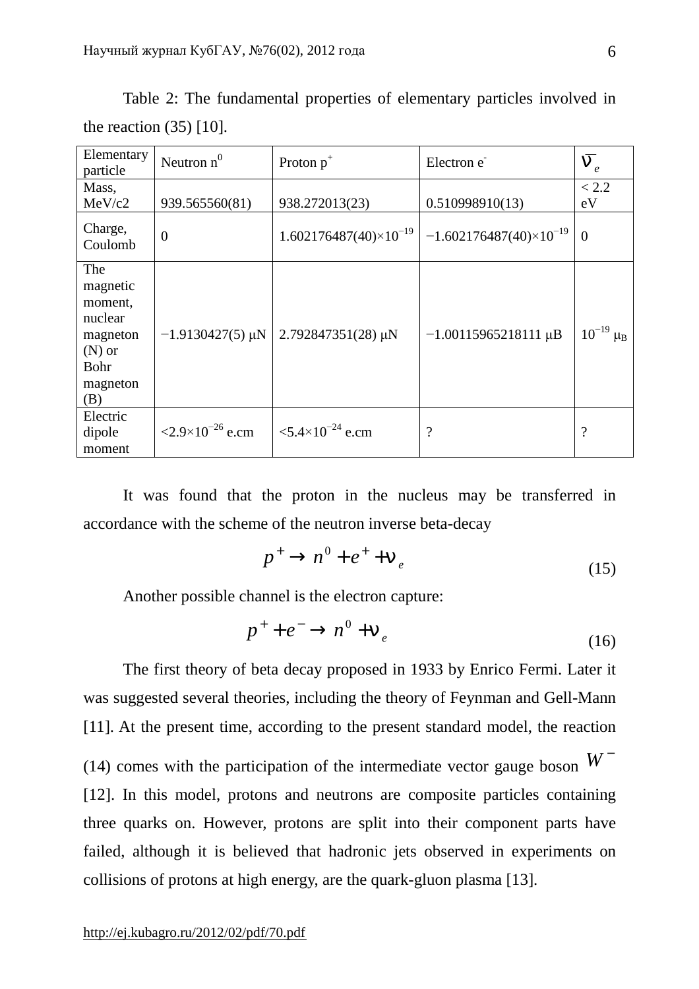| Elementary<br>particle                                                                          | Neutron $n^0$                      | Proton $p^+$                       | Electron e                       | $\overline{n}_e$ |
|-------------------------------------------------------------------------------------------------|------------------------------------|------------------------------------|----------------------------------|------------------|
| Mass,                                                                                           |                                    |                                    |                                  | < 2.2            |
| MeV/c2                                                                                          | 939.565560(81)                     | 938.272013(23)                     | 0.510998910(13)                  | eV               |
| Charge,<br>Coulomb                                                                              | $\overline{0}$                     | $1.602176487(40)\times10^{-19}$    | $-1.602176487(40)\times10^{-19}$ | $\theta$         |
| The<br>magnetic<br>moment,<br>nuclear<br>magneton<br>$(N)$ or<br><b>Bohr</b><br>magneton<br>(B) | $-1.9130427(5)$ µN                 | $2.792847351(28)$ µN               | $-1.00115965218111 \mu B$        | $10^{-19} \mu_B$ |
| Electric<br>dipole<br>moment                                                                    | $\langle 2.9 \times 10^{-26}$ e.cm | $\langle 5.4 \times 10^{-24}$ e.cm | $\overline{\cdot}$               | $\mathcal{P}$    |

Table 2: The fundamental properties of elementary particles involved in the reaction (35) [10].

It was found that the proton in the nucleus may be transferred in accordance with the scheme of the neutron inverse beta-decay

$$
p^+ \to n^0 + e^+ + n_e \tag{15}
$$

Another possible channel is the electron capture:

$$
p^+ + e^- \to n^0 + n_e \tag{16}
$$

The first theory of beta decay proposed in 1933 by Enrico Fermi. Later it was suggested several theories, including the theory of Feynman and Gell-Mann [11]. At the present time, according to the present standard model, the reaction (14) comes with the participation of the intermediate vector gauge boson  $W^-$ [12]. In this model, protons and neutrons are composite particles containing three quarks on. However, protons are split into their component parts have failed, although it is believed that hadronic jets observed in experiments on collisions of protons at high energy, are the quark-gluon plasma [13].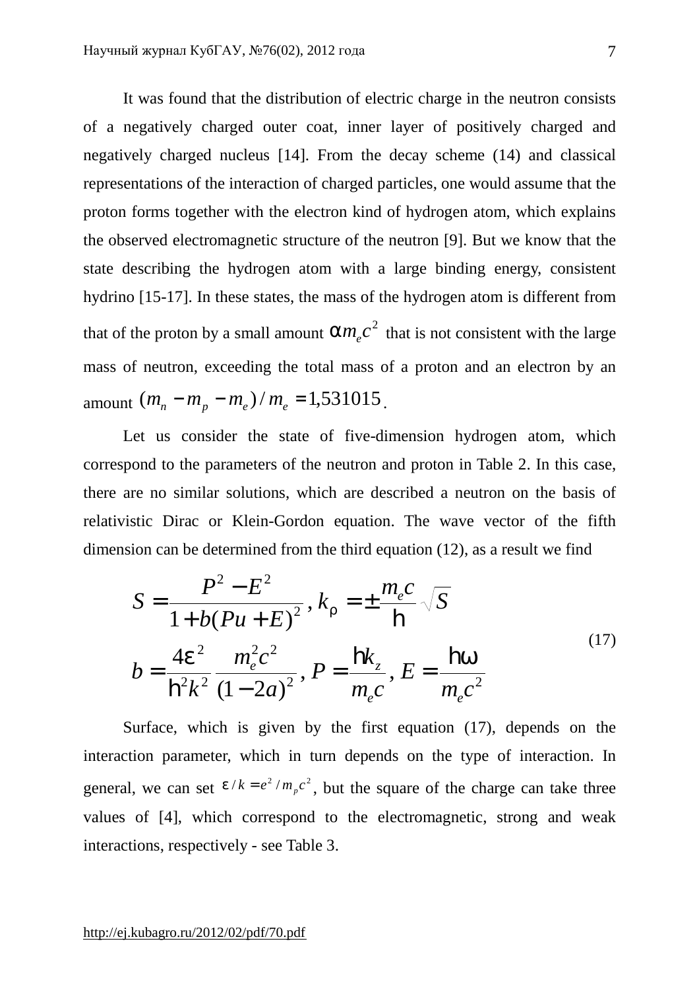It was found that the distribution of electric charge in the neutron consists of a negatively charged outer coat, inner layer of positively charged and negatively charged nucleus [14]. From the decay scheme (14) and classical representations of the interaction of charged particles, one would assume that the proton forms together with the electron kind of hydrogen atom, which explains the observed electromagnetic structure of the neutron [9]. But we know that the state describing the hydrogen atom with a large binding energy, consistent hydrino [15-17]. In these states, the mass of the hydrogen atom is different from that of the proton by a small amount  $am_ec^2$  that is not consistent with the large mass of neutron, exceeding the total mass of a proton and an electron by an amount  $(m_n - m_p - m_e)/m_e = 1,531015$ .

Let us consider the state of five-dimension hydrogen atom, which correspond to the parameters of the neutron and proton in Table 2. In this case, there are no similar solutions, which are described a neutron on the basis of relativistic Dirac or Klein-Gordon equation. The wave vector of the fifth dimension can be determined from the third equation (12), as a result we find

$$
S = \frac{P^2 - E^2}{1 + b(Pu + E)^2}, k_r = \pm \frac{m_e c}{\hbar} \sqrt{S}
$$
  

$$
b = \frac{4e^2}{\hbar^2 k^2} \frac{m_e^2 c^2}{(1 - 2a)^2}, P = \frac{\hbar k_z}{m_e c}, E = \frac{\hbar w}{m_e c^2}
$$
 (17)

Surface, which is given by the first equation (17), depends on the interaction parameter, which in turn depends on the type of interaction. In general, we can set  $e/k = e^2/m_p c^2$ , but the square of the charge can take three values of [4], which correspond to the electromagnetic, strong and weak interactions, respectively - see Table 3.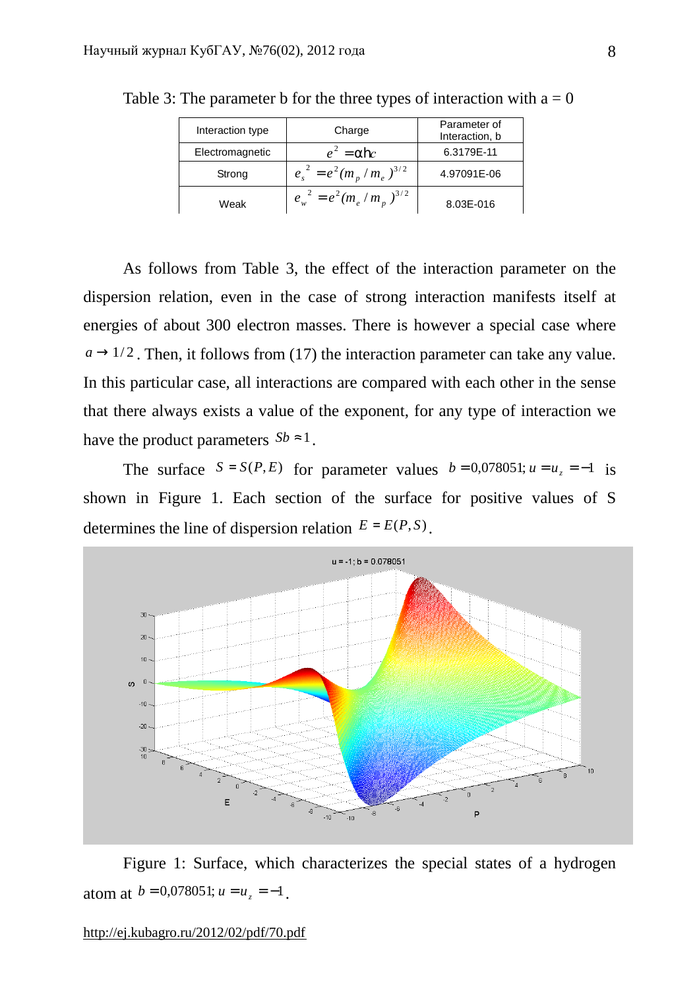| Interaction type | Charge                        | Parameter of<br>Interaction, b |
|------------------|-------------------------------|--------------------------------|
| Electromagnetic  | $e^2 = a$ <b>h</b> c          | 6.3179E-11                     |
| Strong           | $e_s^2 = e^2 (m_n/m_e)^{3/2}$ | 4.97091E-06                    |
| Weak             | $e_w^2 = e^2 (m_e/m_p)^{3/2}$ | 8.03E-016                      |

Table 3: The parameter b for the three types of interaction with  $a = 0$ 

As follows from Table 3, the effect of the interaction parameter on the dispersion relation, even in the case of strong interaction manifests itself at energies of about 300 electron masses. There is however a special case where  $a \rightarrow 1/2$ . Then, it follows from (17) the interaction parameter can take any value. In this particular case, all interactions are compared with each other in the sense that there always exists a value of the exponent, for any type of interaction we have the product parameters  $Sb \approx 1$ .

The surface  $S = S(P, E)$  for parameter values  $b = 0.078051$ ;  $u = u_z = -1$  is shown in Figure 1. Each section of the surface for positive values of S determines the line of dispersion relation  $E = E(P, S)$ .



Figure 1: Surface, which characterizes the special states of a hydrogen atom at  $b = 0.078051$ ;  $u = u<sub>z</sub> = -1$ .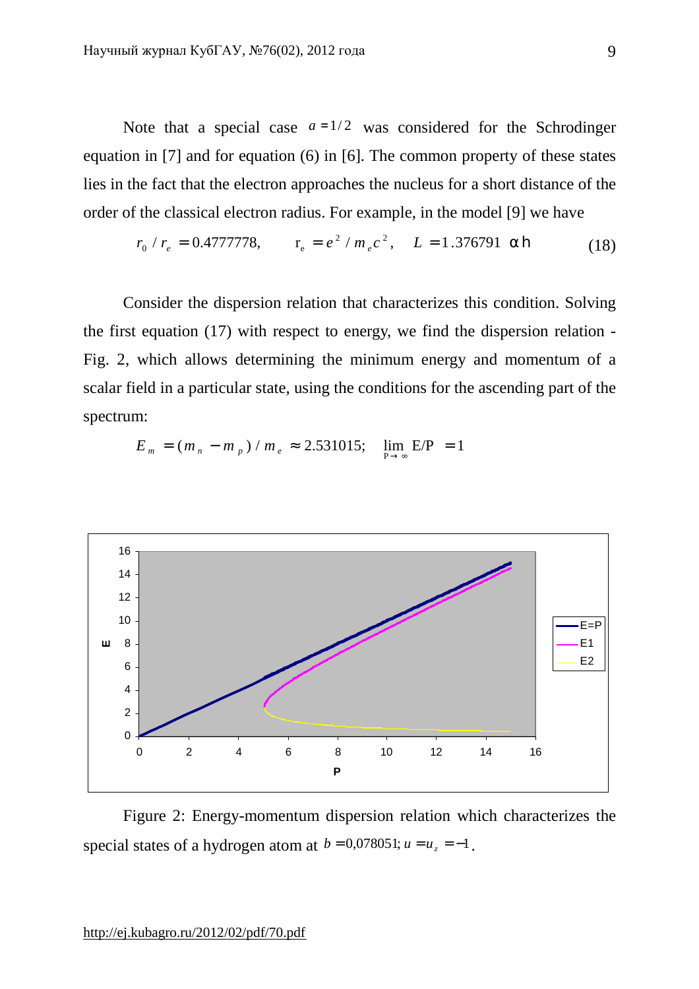Note that a special case  $a = 1/2$  was considered for the Schrodinger equation in [7] and for equation (6) in [6]. The common property of these states lies in the fact that the electron approaches the nucleus for a short distance of the order of the classical electron radius. For example, in the model [9] we have

$$
r_0 / r_e = 0.4777778, \qquad r_e = e^2 / m_e c^2, \quad L = 1.376791 \text{ ah}
$$
 (18)

Consider the dispersion relation that characterizes this condition. Solving the first equation (17) with respect to energy, we find the dispersion relation - Fig. 2, which allows determining the minimum energy and momentum of a scalar field in a particular state, using the conditions for the ascending part of the spectrum:

$$
E_m = (m_n - m_p) / m_e \approx 2.531015; \quad \lim_{P \to \infty} E/P = 1
$$



Figure 2: Energy-momentum dispersion relation which characterizes the special states of a hydrogen atom at  $b = 0.078051$ ;  $u = u<sub>z</sub> = -1$ .

12 14 16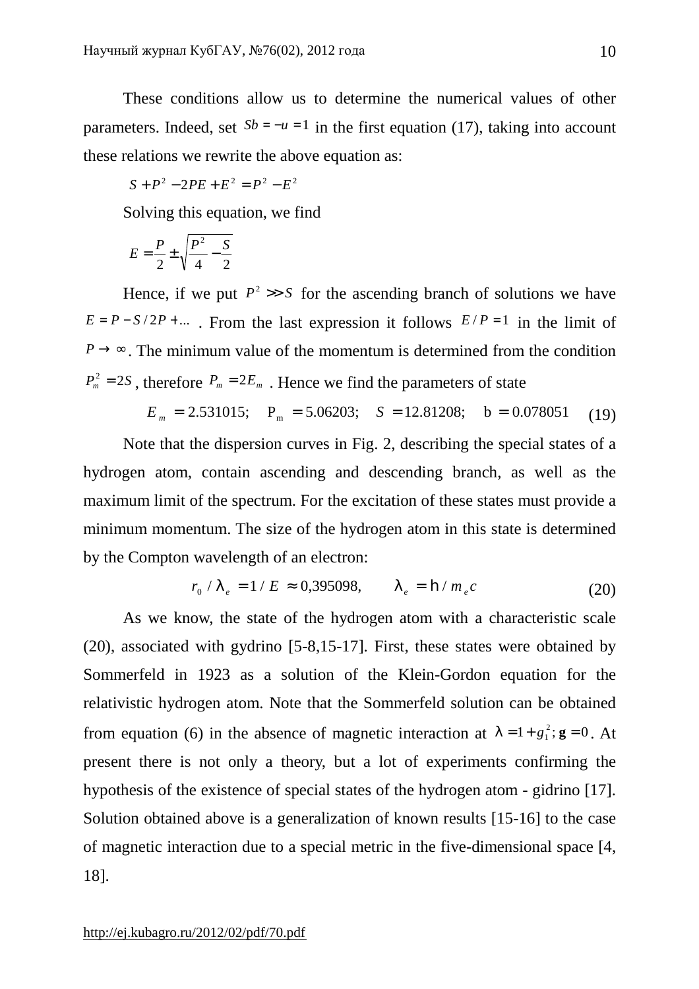These conditions allow us to determine the numerical values of other parameters. Indeed, set  $Sb = -u = 1$  in the first equation (17), taking into account these relations we rewrite the above equation as:

$$
S + P^2 - 2PE + E^2 = P^2 - E^2
$$

Solving this equation, we find

$$
E = \frac{P}{2} \pm \sqrt{\frac{P^2}{4} - \frac{S}{2}}
$$

Hence, if we put  $P^2 \gg S$  for the ascending branch of solutions we have  $E = P - S/2P + ...$ . From the last expression it follows  $E/P = 1$  in the limit of  $P \rightarrow \infty$ . The minimum value of the momentum is determined from the condition  $P_m^2 = 2S$ , therefore  $P_m = 2E_m$ . Hence we find the parameters of state

 $E_m = 2.531015$ ;  $P_m = 5.06203$ ;  $S = 12.81208$ ;  $b = 0.078051$  (19)

Note that the dispersion curves in Fig. 2, describing the special states of a hydrogen atom, contain ascending and descending branch, as well as the maximum limit of the spectrum. For the excitation of these states must provide a minimum momentum. The size of the hydrogen atom in this state is determined by the Compton wavelength of an electron:

$$
r_0 / I_e = 1 / E \approx 0,395098, \qquad I_e = \mathbf{h} / m_e c \tag{20}
$$

As we know, the state of the hydrogen atom with a characteristic scale (20), associated with gydrino [5-8,15-17]. First, these states were obtained by Sommerfeld in 1923 as a solution of the Klein-Gordon equation for the relativistic hydrogen atom. Note that the Sommerfeld solution can be obtained from equation (6) in the absence of magnetic interaction at  $l = 1 + g_1^2$ ;  $g = 0$ . At present there is not only a theory, but a lot of experiments confirming the hypothesis of the existence of special states of the hydrogen atom - gidrino [17]. Solution obtained above is a generalization of known results [15-16] to the case of magnetic interaction due to a special metric in the five-dimensional space [4, 18].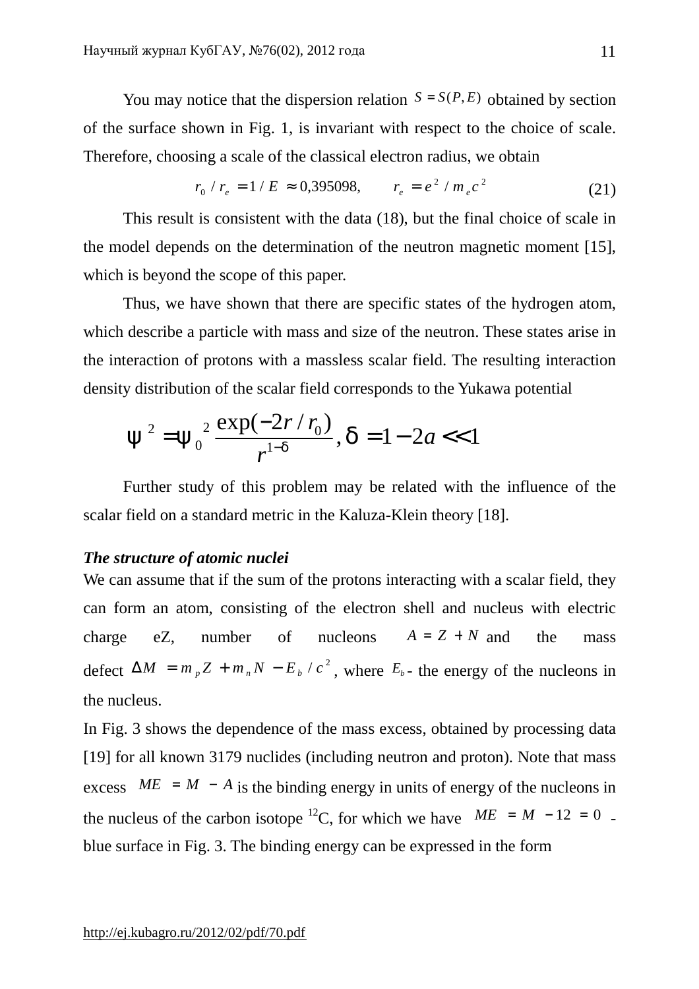You may notice that the dispersion relation  $S = S(P, E)$  obtained by section of the surface shown in Fig. 1, is invariant with respect to the choice of scale. Therefore, choosing a scale of the classical electron radius, we obtain

$$
r_0 / r_e = 1 / E \approx 0,395098, \qquad r_e = e^2 / m_e c^2 \tag{21}
$$

This result is consistent with the data (18), but the final choice of scale in the model depends on the determination of the neutron magnetic moment [15], which is beyond the scope of this paper.

Thus, we have shown that there are specific states of the hydrogen atom, which describe a particle with mass and size of the neutron. These states arise in the interaction of protons with a massless scalar field. The resulting interaction density distribution of the scalar field corresponds to the Yukawa potential

$$
y^2 = y_0^2 \frac{\exp(-2r/r_0)}{r^{1-d}}, d = 1 - 2a < 1
$$

Further study of this problem may be related with the influence of the scalar field on a standard metric in the Kaluza-Klein theory [18].

### *The structure of atomic nuclei*

We can assume that if the sum of the protons interacting with a scalar field, they can form an atom, consisting of the electron shell and nucleus with electric charge eZ, number of nucleons  $A = Z + N$  and the mass defect  $\Delta M = m_p Z + m_n N - E_b / c^2$ , where  $E_b$ - the energy of the nucleons in the nucleus.

In Fig. 3 shows the dependence of the mass excess, obtained by processing data [19] for all known 3179 nuclides (including neutron and proton). Note that mass excess  $ME = M - A$  is the binding energy in units of energy of the nucleons in the nucleus of the carbon isotope <sup>12</sup>C, for which we have  $ME = M - 12 = 0$ . blue surface in Fig. 3. The binding energy can be expressed in the form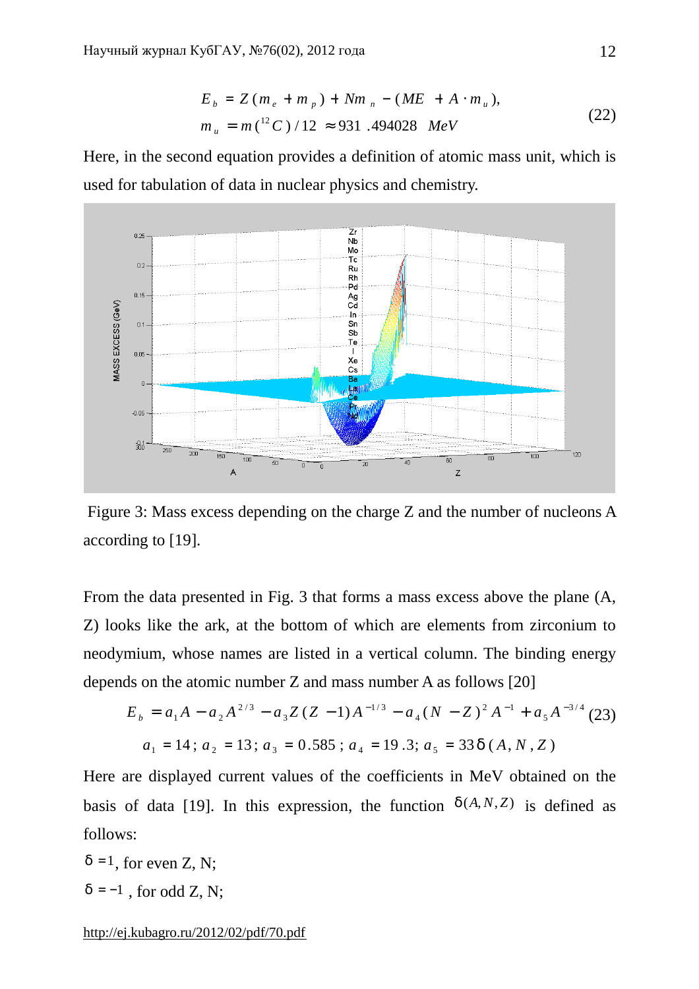$$
E_b = Z(m_e + m_p) + Nm_n - (ME + A \cdot m_u),
$$
  
\n
$$
m_u = m(^{12}C)/12 \approx 931.494028 \text{ MeV}
$$
\n(22)

Here, in the second equation provides a definition of atomic mass unit, which is used for tabulation of data in nuclear physics and chemistry.



Figure 3: Mass excess depending on the charge Z and the number of nucleons A according to [19].

From the data presented in Fig. 3 that forms a mass excess above the plane (A, Z) looks like the ark, at the bottom of which are elements from zirconium to neodymium, whose names are listed in a vertical column. The binding energy depends on the atomic number Z and mass number A as follows [20]

$$
E_b = a_1 A - a_2 A^{2/3} - a_3 Z (Z - 1) A^{-1/3} - a_4 (N - Z)^2 A^{-1} + a_5 A^{-3/4}
$$
 (23)  

$$
a_1 = 14; a_2 = 13; a_3 = 0.585; a_4 = 19.3; a_5 = 33 d (A, N, Z)
$$

Here are displayed current values of the coefficients in MeV obtained on the basis of data [19]. In this expression, the function  $d(A, N, Z)$  is defined as follows:

 $d = 1$ , for even Z, N;  $d = -1$ , for odd Z, N;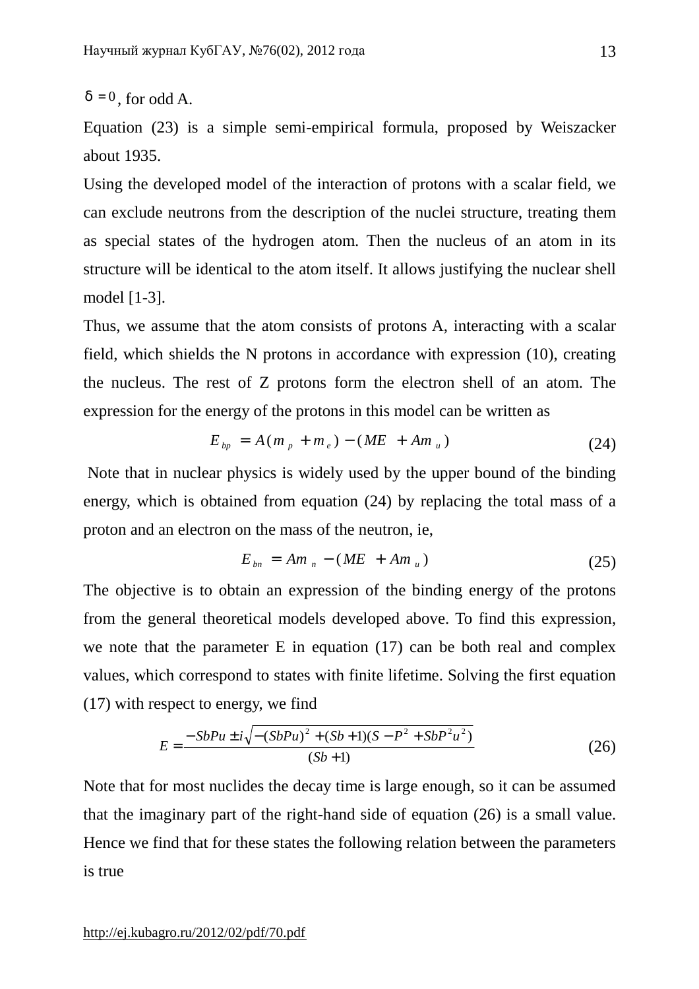$d = 0$ , for odd A.

Equation (23) is a simple semi-empirical formula, proposed by Weiszacker about 1935.

Using the developed model of the interaction of protons with a scalar field, we can exclude neutrons from the description of the nuclei structure, treating them as special states of the hydrogen atom. Then the nucleus of an atom in its structure will be identical to the atom itself. It allows justifying the nuclear shell model [1-3].

Thus, we assume that the atom consists of protons A, interacting with a scalar field, which shields the N protons in accordance with expression (10), creating the nucleus. The rest of Z protons form the electron shell of an atom. The expression for the energy of the protons in this model can be written as

$$
E_{bp} = A(m_p + m_e) - (ME + Am_u)
$$
 (24)

Note that in nuclear physics is widely used by the upper bound of the binding energy, which is obtained from equation (24) by replacing the total mass of a proton and an electron on the mass of the neutron, ie,

$$
E_{bn} = Am_n - (ME + Am_u)
$$
\n
$$
(25)
$$

The objective is to obtain an expression of the binding energy of the protons from the general theoretical models developed above. To find this expression, we note that the parameter E in equation (17) can be both real and complex values, which correspond to states with finite lifetime. Solving the first equation (17) with respect to energy, we find

$$
E = \frac{-SbPu \pm i\sqrt{-\left(SbPu\right)^2 + \left(Sb + 1\right)\left(S - P^2 + SbP^2u^2\right)}}{\left(Sb + 1\right)}\tag{26}
$$

Note that for most nuclides the decay time is large enough, so it can be assumed that the imaginary part of the right-hand side of equation (26) is a small value. Hence we find that for these states the following relation between the parameters is true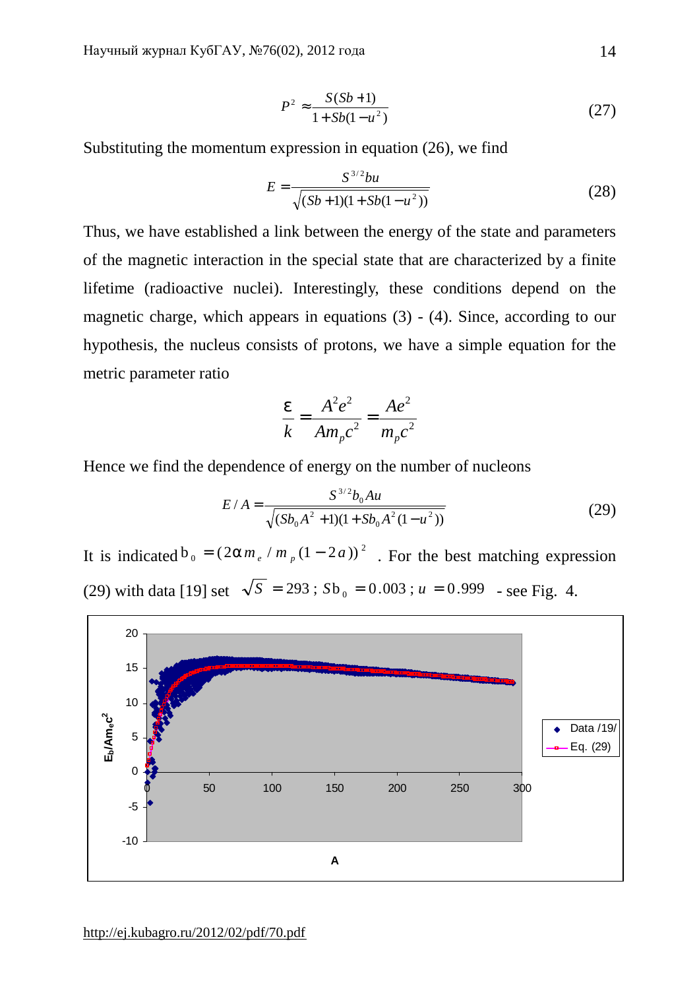$$
P^2 \approx \frac{S(Sb+1)}{1 + Sb(1 - u^2)}
$$
 (27)

Substituting the momentum expression in equation (26), we find

$$
E = \frac{S^{3/2}bu}{\sqrt{(Sb+1)(1+Sb(1-u^2))}}
$$
(28)

Thus, we have established a link between the energy of the state and parameters of the magnetic interaction in the special state that are characterized by a finite lifetime (radioactive nuclei). Interestingly, these conditions depend on the magnetic charge, which appears in equations (3) - (4). Since, according to our hypothesis, the nucleus consists of protons, we have a simple equation for the metric parameter ratio

$$
\frac{e}{k} = \frac{A^2 e^2}{A m_p c^2} = \frac{A e^2}{m_p c^2}
$$

Hence we find the dependence of energy on the number of nucleons

$$
E/A = \frac{S^{3/2}b_0Au}{\sqrt{(Sb_0A^2 + 1)(1 + Sb_0A^2(1 - u^2))}}
$$
(29)

It is indicated  $b_0 = (2am_e/m_p(1-2a))^2$ . For the best matching expression (29) with data [19] set  $\sqrt{S} = 293$ ;  $Sb_0 = 0.003$ ;  $u = 0.999$  - see Fig. 4.

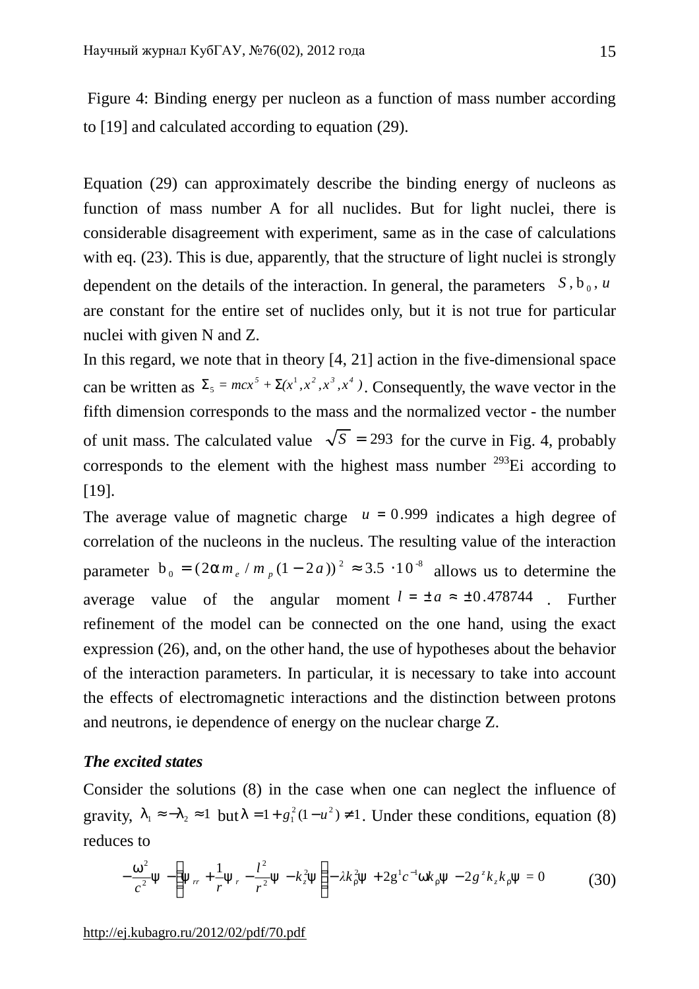Figure 4: Binding energy per nucleon as a function of mass number according to [19] and calculated according to equation (29).

Equation (29) can approximately describe the binding energy of nucleons as function of mass number A for all nuclides. But for light nuclei, there is considerable disagreement with experiment, same as in the case of calculations with eq. (23). This is due, apparently, that the structure of light nuclei is strongly dependent on the details of the interaction. In general, the parameters  $S, b_0, u$ are constant for the entire set of nuclides only, but it is not true for particular nuclei with given N and Z.

In this regard, we note that in theory [4, 21] action in the five-dimensional space can be written as  $\Sigma_5 = mcx^5 + \Sigma(x^1, x^2, x^3, x^4)$ . Consequently, the wave vector in the fifth dimension corresponds to the mass and the normalized vector - the number of unit mass. The calculated value  $\sqrt{S}$  = 293 for the curve in Fig. 4, probably corresponds to the element with the highest mass number  $^{293}$ Ei according to [19].

The average value of magnetic charge  $u = 0.999$  indicates a high degree of correlation of the nucleons in the nucleus. The resulting value of the interaction parameter  $b_0 = (2am_e/m_p(1-2a))^2 \approx 3.5 \cdot 10^{-8}$  allows us to determine the average value of the angular moment  $l = \pm a \approx \pm 0.478744$ . Further refinement of the model can be connected on the one hand, using the exact expression (26), and, on the other hand, the use of hypotheses about the behavior of the interaction parameters. In particular, it is necessary to take into account the effects of electromagnetic interactions and the distinction between protons and neutrons, ie dependence of energy on the nuclear charge Z.

## *The excited states*

Consider the solutions (8) in the case when one can neglect the influence of gravity,  $I_1 \approx -I_2 \approx 1$  but  $I = 1 + g_1^2 (1 - u^2) \neq 1$ . Under these conditions, equation (8) reduces to

$$
-\frac{w^2}{c^2}y - \left(y_{rr} + \frac{1}{r}y_r - \frac{l^2}{r^2}y - k_z^2y\right) - \lambda k_r^2 y + 2g^1 c^{-1} w k_r y - 2g^2 k_z k_r y = 0
$$
 (30)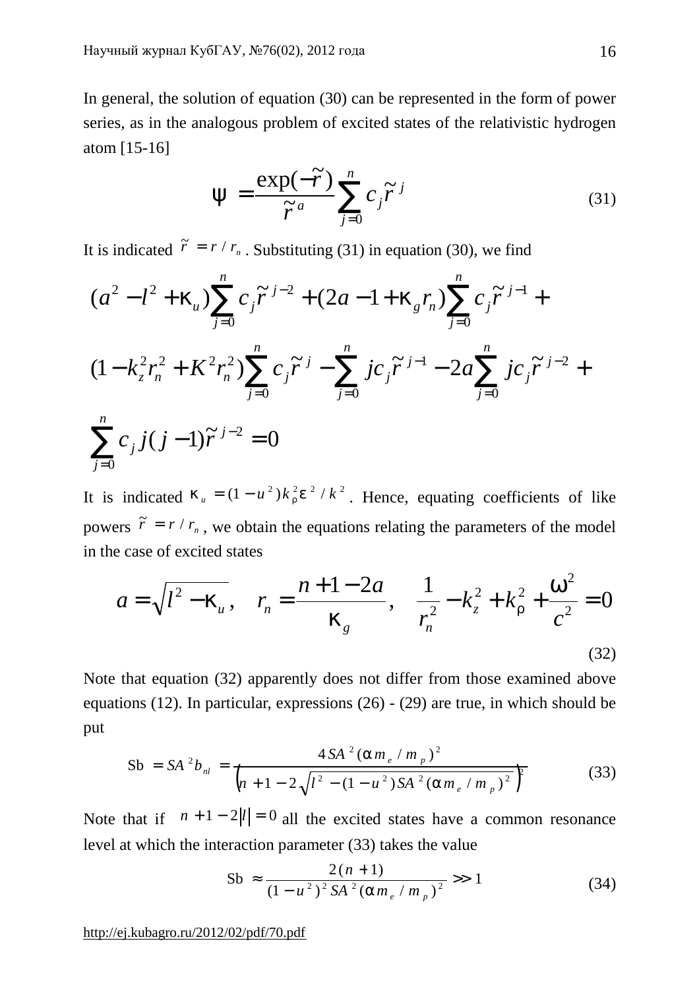In general, the solution of equation (30) can be represented in the form of power series, as in the analogous problem of excited states of the relativistic hydrogen atom [15-16]

$$
y = \frac{\exp(-\widetilde{r})}{\widetilde{r}^a} \sum_{j=0}^n c_j \widetilde{r}^j
$$
 (31)

It is indicated  $\tilde{r} = r / r_n$ . Substituting (31) in equation (30), we find

$$
(a^{2} - l^{2} + k_{u}) \sum_{j=0}^{n} c_{j} \tilde{r}^{j-2} + (2a - 1 + k_{g} r_{n}) \sum_{j=0}^{n} c_{j} \tilde{r}^{j-1} +
$$
  

$$
(1 - k_{z}^{2} r_{n}^{2} + K^{2} r_{n}^{2}) \sum_{j=0}^{n} c_{j} \tilde{r}^{j} - \sum_{j=0}^{n} j c_{j} \tilde{r}^{j-1} - 2a \sum_{j=0}^{n} j c_{j} \tilde{r}^{j-2} +
$$
  

$$
\sum_{j=0}^{n} c_{j} j(j-1) \tilde{r}^{j-2} = 0
$$

It is indicated  $k_u = (1 - u^2)k_r^2 e^{2}/k^2$ . Hence, equating coefficients of like powers  $\tilde{r} = r / r_n$ , we obtain the equations relating the parameters of the model in the case of excited states

$$
a = \sqrt{l^2 - k_u}, \quad r_n = \frac{n + 1 - 2a}{k_g}, \quad \frac{1}{r_n^2} - k_z^2 + k_r^2 + \frac{w^2}{c^2} = 0
$$
\n(32)

Note that equation (32) apparently does not differ from those examined above equations (12). In particular, expressions (26) - (29) are true, in which should be put

$$
Sb = SA^{2}b_{nl} = \frac{4SA^{2}(am_{e} / m_{p})^{2}}{(n + 1 - 2\sqrt{l^{2} - (1 - u^{2})SA^{2}(am_{e} / m_{p})^{2}})^{2}}
$$
(33)

Note that if  $n + 1 - 2|l| = 0$  all the excited states have a common resonance level at which the interaction parameter (33) takes the value

$$
Sb \approx \frac{2(n+1)}{(1-u^2)^2 SA^2 (am_e/m_p)^2} >> 1
$$
 (34)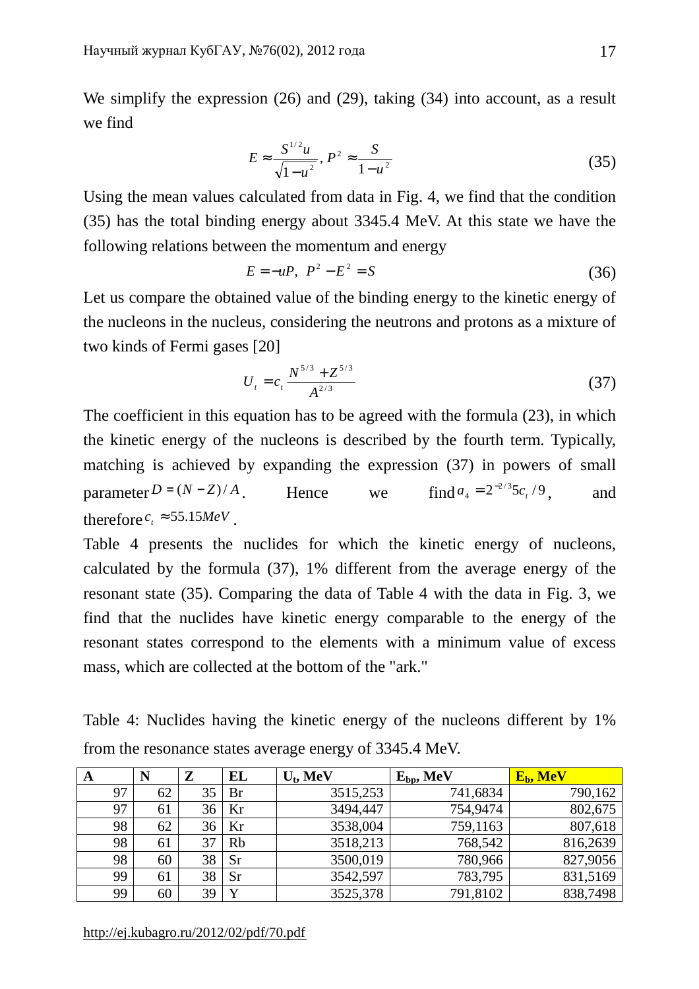We simplify the expression (26) and (29), taking (34) into account, as a result we find

$$
E \approx \frac{S^{1/2}u}{\sqrt{1-u^2}}, P^2 \approx \frac{S}{1-u^2}
$$
 (35)

Using the mean values calculated from data in Fig. 4, we find that the condition (35) has the total binding energy about 3345.4 MeV. At this state we have the following relations between the momentum and energy

$$
E = -uP, \ P^2 - E^2 = S \tag{36}
$$

Let us compare the obtained value of the binding energy to the kinetic energy of the nucleons in the nucleus, considering the neutrons and protons as a mixture of two kinds of Fermi gases [20]

$$
U_t = c_t \frac{N^{5/3} + Z^{5/3}}{A^{2/3}}
$$
 (37)

The coefficient in this equation has to be agreed with the formula (23), in which the kinetic energy of the nucleons is described by the fourth term. Typically, matching is achieved by expanding the expression (37) in powers of small parameter  $D = (N - Z)/A$  . Hence we  $a_4 = 2^{-2/3} 5c_t / 9$ , and therefore  $c_t \approx 55.15 MeV$ .

Table 4 presents the nuclides for which the kinetic energy of nucleons, calculated by the formula (37), 1% different from the average energy of the resonant state (35). Comparing the data of Table 4 with the data in Fig. 3, we find that the nuclides have kinetic energy comparable to the energy of the resonant states correspond to the elements with a minimum value of excess mass, which are collected at the bottom of the "ark."

Table 4: Nuclides having the kinetic energy of the nucleons different by 1% from the resonance states average energy of 3345.4 MeV.

| A  | N  | Z  | EL        | $U_t$ , MeV | $E_{bp}$ , MeV | E <sub>b</sub> , MeV |
|----|----|----|-----------|-------------|----------------|----------------------|
| 97 | 62 | 35 | Br        | 3515,253    | 741,6834       | 790,162              |
| 97 | 61 | 36 | Kr        | 3494,447    | 754,9474       | 802,675              |
| 98 | 62 | 36 | Kr        | 3538,004    | 759,1163       | 807,618              |
| 98 | 61 | 37 | <b>Rb</b> | 3518,213    | 768,542        | 816,2639             |
| 98 | 60 | 38 | <b>Sr</b> | 3500,019    | 780,966        | 827,9056             |
| 99 | 61 | 38 | <b>Sr</b> | 3542,597    | 783,795        | 831,5169             |
| 99 | 60 | 39 | Y         | 3525,378    | 791,8102       | 838,7498             |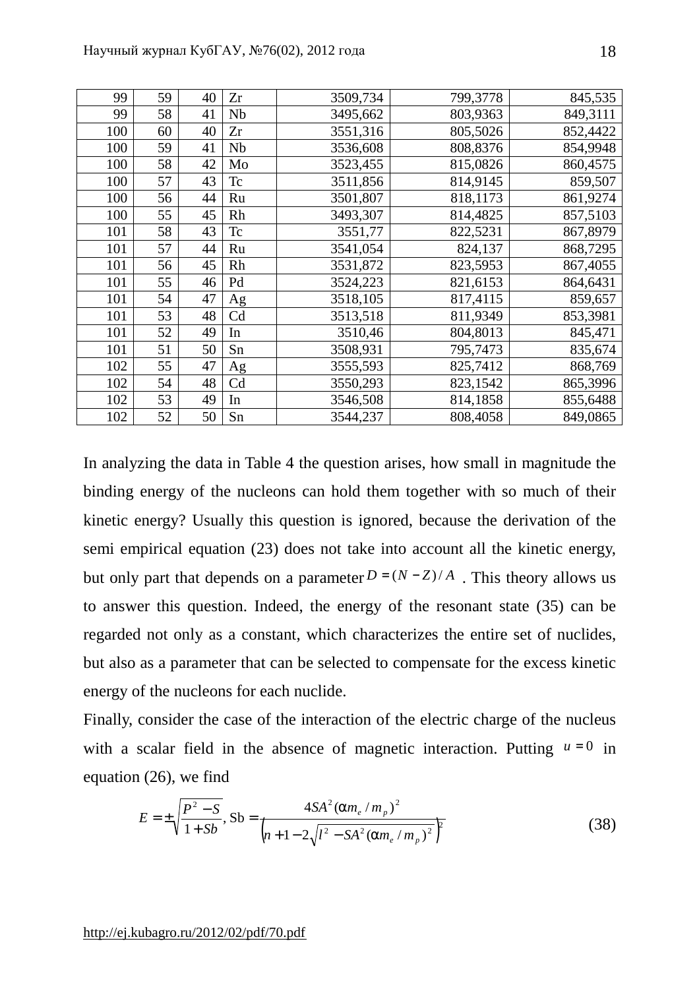| 99  | 59 | 40 | Zr | 3509,734 | 799,3778 | 845,535  |
|-----|----|----|----|----------|----------|----------|
| 99  | 58 | 41 | Nb | 3495,662 | 803,9363 | 849,3111 |
| 100 | 60 | 40 | Zr | 3551,316 | 805,5026 | 852,4422 |
| 100 | 59 | 41 | Nb | 3536,608 | 808,8376 | 854,9948 |
| 100 | 58 | 42 | Mo | 3523,455 | 815,0826 | 860,4575 |
| 100 | 57 | 43 | Tc | 3511,856 | 814,9145 | 859,507  |
| 100 | 56 | 44 | Ru | 3501,807 | 818,1173 | 861,9274 |
| 100 | 55 | 45 | Rh | 3493,307 | 814,4825 | 857,5103 |
| 101 | 58 | 43 | Tc | 3551,77  | 822,5231 | 867,8979 |
| 101 | 57 | 44 | Ru | 3541,054 | 824,137  | 868,7295 |
| 101 | 56 | 45 | Rh | 3531,872 | 823,5953 | 867,4055 |
| 101 | 55 | 46 | Pd | 3524,223 | 821,6153 | 864,6431 |
| 101 | 54 | 47 | Ag | 3518,105 | 817,4115 | 859,657  |
| 101 | 53 | 48 | Cd | 3513,518 | 811,9349 | 853,3981 |
| 101 | 52 | 49 | In | 3510,46  | 804,8013 | 845,471  |
| 101 | 51 | 50 | Sn | 3508,931 | 795,7473 | 835,674  |
| 102 | 55 | 47 | Ag | 3555,593 | 825,7412 | 868,769  |
| 102 | 54 | 48 | Cd | 3550,293 | 823,1542 | 865,3996 |
| 102 | 53 | 49 | In | 3546,508 | 814,1858 | 855,6488 |
| 102 | 52 | 50 | Sn | 3544,237 | 808,4058 | 849,0865 |

In analyzing the data in Table 4 the question arises, how small in magnitude the binding energy of the nucleons can hold them together with so much of their kinetic energy? Usually this question is ignored, because the derivation of the semi empirical equation (23) does not take into account all the kinetic energy, but only part that depends on a parameter  $D = (N - Z)/A$ . This theory allows us to answer this question. Indeed, the energy of the resonant state (35) can be regarded not only as a constant, which characterizes the entire set of nuclides, but also as a parameter that can be selected to compensate for the excess kinetic energy of the nucleons for each nuclide.

Finally, consider the case of the interaction of the electric charge of the nucleus with a scalar field in the absence of magnetic interaction. Putting  $u = 0$  in equation (26), we find

$$
E = \pm \sqrt{\frac{P^2 - S}{1 + Sb}}, \text{Sb} = \frac{4SA^2 (am_e/m_p)^2}{\left(n + 1 - 2\sqrt{l^2 - SA^2 (am_e/m_p)^2}\right)^2}
$$
(38)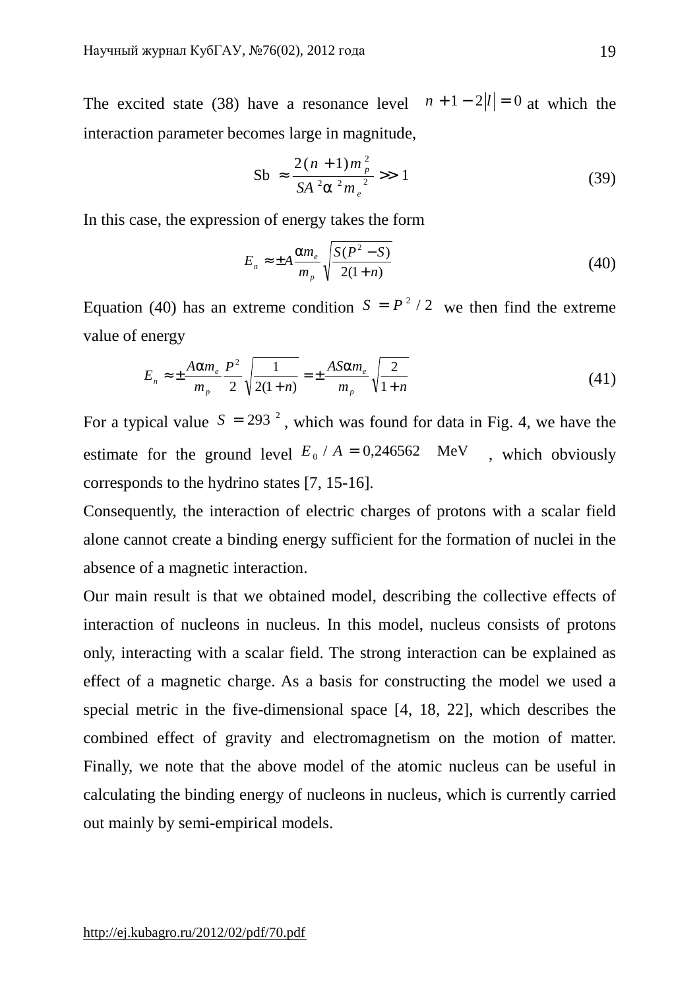The excited state (38) have a resonance level  $n + 1 - 2|l| = 0$  at which the interaction parameter becomes large in magnitude,

$$
Sb \approx \frac{2(n+1)m_p^2}{SA^2a^2m_e^2} \gg 1
$$
 (39)

In this case, the expression of energy takes the form

$$
E_n \approx \pm A \frac{am_e}{m_p} \sqrt{\frac{S(P^2 - S)}{2(1+n)}}
$$
(40)

Equation (40) has an extreme condition  $S = P^2 / 2$  we then find the extreme value of energy

$$
E_n \approx \pm \frac{Aam_e}{m_p} \frac{P^2}{2} \sqrt{\frac{1}{2(1+n)}} = \pm \frac{ASam_e}{m_p} \sqrt{\frac{2}{1+n}}
$$
(41)

For a typical value  $S = 293<sup>2</sup>$ , which was found for data in Fig. 4, we have the estimate for the ground level  $E_0 / A = 0.246562$  MeV, which obviously corresponds to the hydrino states [7, 15-16].

Consequently, the interaction of electric charges of protons with a scalar field alone cannot create a binding energy sufficient for the formation of nuclei in the absence of a magnetic interaction.

Our main result is that we obtained model, describing the collective effects of interaction of nucleons in nucleus. In this model, nucleus consists of protons only, interacting with a scalar field. The strong interaction can be explained as effect of a magnetic charge. As a basis for constructing the model we used a special metric in the five-dimensional space [4, 18, 22], which describes the combined effect of gravity and electromagnetism on the motion of matter. Finally, we note that the above model of the atomic nucleus can be useful in calculating the binding energy of nucleons in nucleus, which is currently carried out mainly by semi-empirical models.